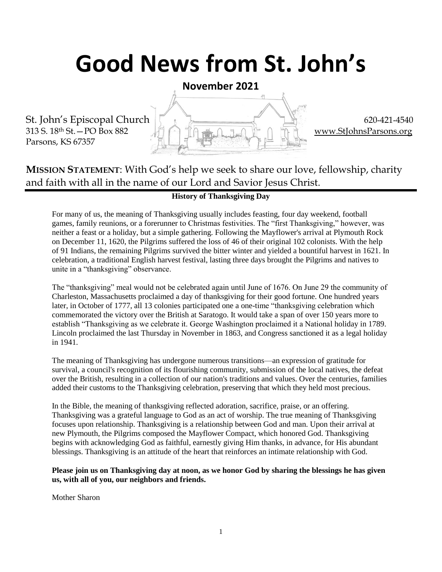# **Good News from St. John's**

**November 2021**

Parsons, KS 67357



### **MISSION STATEMENT**: With God's help we seek to share our love, fellowship, charity and faith with all in the name of our Lord and Savior Jesus Christ.

#### **History of Thanksgiving Day**

For many of us, the meaning of Thanksgiving usually includes feasting, four day weekend, football games, family reunions, or a forerunner to Christmas festivities. The "first Thanksgiving," however, was neither a feast or a holiday, but a simple gathering. Following the Mayflower's arrival at Plymouth Rock on December 11, 1620, the Pilgrims suffered the loss of 46 of their original 102 colonists. With the help of 91 Indians, the remaining Pilgrims survived the bitter winter and yielded a bountiful harvest in 1621. In celebration, a traditional English harvest festival, lasting three days brought the Pilgrims and natives to unite in a "thanksgiving" observance.

The "thanksgiving" meal would not be celebrated again until June of 1676. On June 29 the community of Charleston, Massachusetts proclaimed a day of thanksgiving for their good fortune. One hundred years later, in October of 1777, all 13 colonies participated one a one-time "thanksgiving celebration which commemorated the victory over the British at Saratogo. It would take a span of over 150 years more to establish "Thanksgiving as we celebrate it. George Washington proclaimed it a National holiday in 1789. Lincoln proclaimed the last Thursday in November in 1863, and Congress sanctioned it as a legal holiday in 1941.

The meaning of Thanksgiving has undergone numerous transitions—an expression of gratitude for survival, a council's recognition of its flourishing community, submission of the local natives, the defeat over the British, resulting in a collection of our nation's traditions and values. Over the centuries, families added their customs to the Thanksgiving celebration, preserving that which they held most precious.

In the Bible, the meaning of thanksgiving reflected adoration, sacrifice, praise, or an offering. Thanksgiving was a grateful language to God as an act of worship. The true meaning of Thanksgiving focuses upon relationship. Thanksgiving is a relationship between God and man. Upon their arrival at new Plymouth, the Pilgrims composed the Mayflower Compact, which honored God. Thanksgiving begins with acknowledging God as faithful, earnestly giving Him thanks, in advance, for His abundant blessings. Thanksgiving is an attitude of the heart that reinforces an intimate relationship with God.

#### **Please join us on Thanksgiving day at noon, as we honor God by sharing the blessings he has given us, with all of you, our neighbors and friends.**

Mother Sharon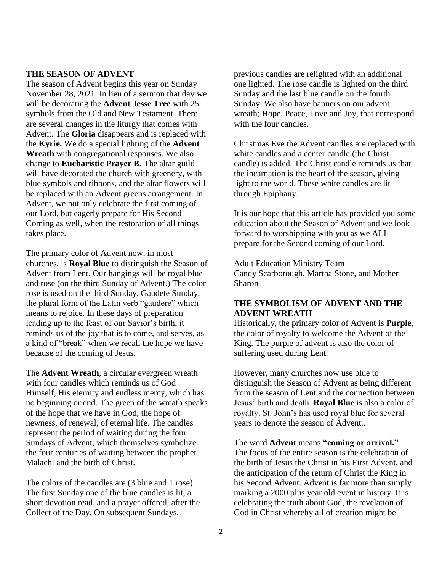#### **THE SEASON OF ADVENT**

The season of Advent begins this year on Sunday November 28, 2021. In lieu of a sermon that day we will be decorating the **Advent Jesse Tree** with 25 symbols from the Old and New Testament. There are several changes in the liturgy that comes with Advent. The **Gloria** disappears and is replaced with the **Kyrie.** We do a special lighting of the **Advent Wreath** with congregational responses. We also change to **Eucharistic Prayer B.** The altar guild will have decorated the church with greenery, with blue symbols and ribbons, and the altar flowers will be replaced with an Advent greens arrangement. In Advent, we not only celebrate the first coming of our Lord, but eagerly prepare for His Second Coming as well, when the restoration of all things takes place.

The primary color of Advent now, in most churches, is **Royal Blue** to distinguish the Season of Advent from Lent. Our hangings will be royal blue and rose (on the third Sunday of Advent.) The color rose is used on the third Sunday, Gaudete Sunday, the plural form of the Latin verb "gaudere" which means to rejoice. In these days of preparation leading up to the feast of our Savior's birth, it reminds us of the joy that is to come, and serves, as a kind of "break" when we recall the hope we have because of the coming of Jesus.

The **Advent Wreath**, a circular evergreen wreath with four candles which reminds us of God Himself, His eternity and endless mercy, which has no beginning or end. The green of the wreath speaks of the hope that we have in God, the hope of newness, of renewal, of eternal life. The candles represent the period of waiting during the four Sundays of Advent, which themselves symbolize the four centuries of waiting between the prophet Malachi and the birth of Christ.

The colors of the candles are (3 blue and 1 rose). The first Sunday one of the blue candles is lit, a short devotion read, and a prayer offered, after the Collect of the Day. On subsequent Sundays,

previous candles are relighted with an additional one lighted. The rose candle is lighted on the third Sunday and the last blue candle on the fourth Sunday. We also have banners on our advent wreath; Hope, Peace, Love and Joy, that correspond with the four candles.

Christmas Eve the Advent candles are replaced with white candles and a center candle (the Christ candle) is added. The Christ candle reminds us that the incarnation is the heart of the season, giving light to the world. These white candles are lit through Epiphany.

It is our hope that this article has provided you some education about the Season of Advent and we look forward to worshipping with you as we ALL prepare for the Second coming of our Lord.

Adult Education Ministry Team Candy Scarborough, Martha Stone, and Mother Sharon

#### **THE SYMBOLISM OF ADVENT AND THE ADVENT WREATH**

Historically, the primary color of Advent is **Purple**, the color of royalty to welcome the Advent of the King. The purple of advent is also the color of suffering used during Lent.

However, many churches now use blue to distinguish the Season of Advent as being different from the season of Lent and the connection between Jesus' birth and death. **Royal Blue** is also a color of royalty. St. John's has used royal blue for several years to denote the season of Advent..

The word **Advent** means **"coming or arrival."**  The focus of the entire season is the celebration of the birth of Jesus the Christ in his First Advent, and the anticipation of the return of Christ the King in his Second Advent. Advent is far more than simply marking a 2000 plus year old event in history. It is celebrating the truth about God, the revelation of God in Christ whereby all of creation might be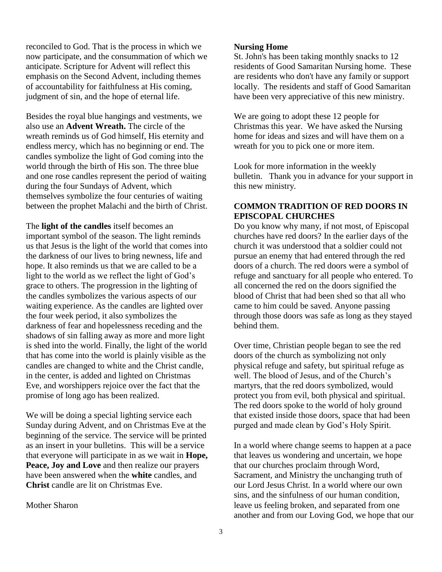reconciled to God. That is the process in which we now participate, and the consummation of which we anticipate. Scripture for Advent will reflect this emphasis on the Second Advent, including themes of accountability for faithfulness at His coming, judgment of sin, and the hope of eternal life.

Besides the royal blue hangings and vestments, we also use an **Advent Wreath.** The circle of the wreath reminds us of God himself, His eternity and endless mercy, which has no beginning or end. The candles symbolize the light of God coming into the world through the birth of His son. The three blue and one rose candles represent the period of waiting during the four Sundays of Advent, which themselves symbolize the four centuries of waiting between the prophet Malachi and the birth of Christ.

The **light of the candles** itself becomes an important symbol of the season. The light reminds us that Jesus is the light of the world that comes into the darkness of our lives to bring newness, life and hope. It also reminds us that we are called to be a light to the world as we reflect the light of God's grace to others. The progression in the lighting of the candles symbolizes the various aspects of our waiting experience. As the candles are lighted over the four week period, it also symbolizes the darkness of fear and hopelessness receding and the shadows of sin falling away as more and more light is shed into the world. Finally, the light of the world that has come into the world is plainly visible as the candles are changed to white and the Christ candle, in the center, is added and lighted on Christmas Eve, and worshippers rejoice over the fact that the promise of long ago has been realized.

We will be doing a special lighting service each Sunday during Advent, and on Christmas Eve at the beginning of the service. The service will be printed as an insert in your bulletins. This will be a service that everyone will participate in as we wait in **Hope, Peace, Joy and Love** and then realize our prayers have been answered when the **white** candles, and **Christ** candle are lit on Christmas Eve.

#### Mother Sharon

#### **Nursing Home**

St. John's has been taking monthly snacks to 12 residents of Good Samaritan Nursing home. These are residents who don't have any family or support locally. The residents and staff of Good Samaritan have been very appreciative of this new ministry.

We are going to adopt these 12 people for Christmas this year. We have asked the Nursing home for ideas and sizes and will have them on a wreath for you to pick one or more item.

Look for more information in the weekly bulletin. Thank you in advance for your support in this new ministry.

#### **COMMON TRADITION OF RED DOORS IN EPISCOPAL CHURCHES**

Do you know why many, if not most, of Episcopal churches have red doors? In the earlier days of the church it was understood that a soldier could not pursue an enemy that had entered through the red doors of a church. The red doors were a symbol of refuge and sanctuary for all people who entered. To all concerned the red on the doors signified the blood of Christ that had been shed so that all who came to him could be saved. Anyone passing through those doors was safe as long as they stayed behind them.

Over time, Christian people began to see the red doors of the church as symbolizing not only physical refuge and safety, but spiritual refuge as well. The blood of Jesus, and of the Church's martyrs, that the red doors symbolized, would protect you from evil, both physical and spiritual. The red doors spoke to the world of holy ground that existed inside those doors, space that had been purged and made clean by God's Holy Spirit.

In a world where change seems to happen at a pace that leaves us wondering and uncertain, we hope that our churches proclaim through Word, Sacrament, and Ministry the unchanging truth of our Lord Jesus Christ. In a world where our own sins, and the sinfulness of our human condition, leave us feeling broken, and separated from one another and from our Loving God, we hope that our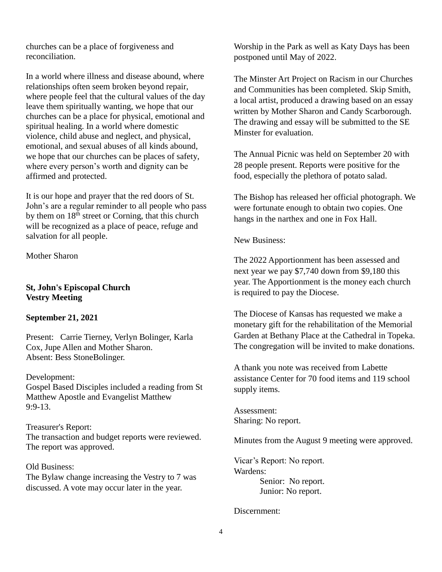churches can be a place of forgiveness and reconciliation.

In a world where illness and disease abound, where relationships often seem broken beyond repair, where people feel that the cultural values of the day leave them spiritually wanting, we hope that our churches can be a place for physical, emotional and spiritual healing. In a world where domestic violence, child abuse and neglect, and physical, emotional, and sexual abuses of all kinds abound, we hope that our churches can be places of safety, where every person's worth and dignity can be affirmed and protected.

It is our hope and prayer that the red doors of St. John's are a regular reminder to all people who pass by them on  $18<sup>th</sup>$  street or Corning, that this church will be recognized as a place of peace, refuge and salvation for all people.

Mother Sharon

#### **St, John's Episcopal Church Vestry Meeting**

#### **September 21, 2021**

Present: Carrie Tierney, Verlyn Bolinger, Karla Cox, Jupe Allen and Mother Sharon. Absent: Bess StoneBolinger.

Development: Gospel Based Disciples included a reading from St Matthew Apostle and Evangelist Matthew 9:9-13.

Treasurer's Report: The transaction and budget reports were reviewed. The report was approved.

Old Business: The Bylaw change increasing the Vestry to 7 was discussed. A vote may occur later in the year.

Worship in the Park as well as Katy Days has been postponed until May of 2022.

The Minster Art Project on Racism in our Churches and Communities has been completed. Skip Smith, a local artist, produced a drawing based on an essay written by Mother Sharon and Candy Scarborough. The drawing and essay will be submitted to the SE Minster for evaluation.

The Annual Picnic was held on September 20 with 28 people present. Reports were positive for the food, especially the plethora of potato salad.

The Bishop has released her official photograph. We were fortunate enough to obtain two copies. One hangs in the narthex and one in Fox Hall.

New Business:

The 2022 Apportionment has been assessed and next year we pay \$7,740 down from \$9,180 this year. The Apportionment is the money each church is required to pay the Diocese.

The Diocese of Kansas has requested we make a monetary gift for the rehabilitation of the Memorial Garden at Bethany Place at the Cathedral in Topeka. The congregation will be invited to make donations.

A thank you note was received from Labette assistance Center for 70 food items and 119 school supply items.

Assessment: Sharing: No report.

Minutes from the August 9 meeting were approved.

Vicar's Report: No report. Wardens: Senior: No report. Junior: No report.

Discernment: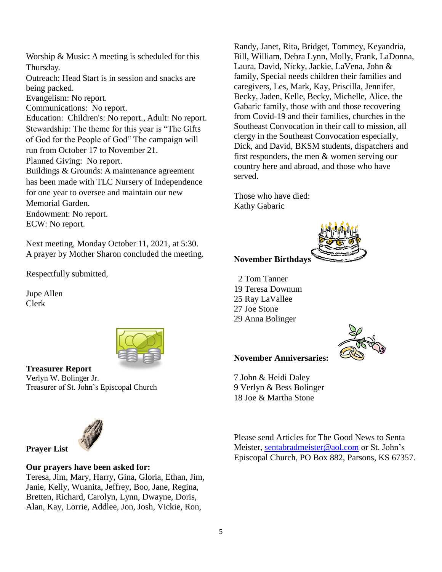Worship & Music: A meeting is scheduled for this Thursday. Outreach: Head Start is in session and snacks are being packed. Evangelism: No report. Communications: No report. Education: Children's: No report., Adult: No report. Stewardship: The theme for this year is "The Gifts of God for the People of God" The campaign will run from October 17 to November 21. Planned Giving: No report. Buildings & Grounds: A maintenance agreement has been made with TLC Nursery of Independence for one year to oversee and maintain our new Memorial Garden. Endowment: No report. ECW: No report.

Next meeting, Monday October 11, 2021, at 5:30. A prayer by Mother Sharon concluded the meeting.

Respectfully submitted,

Jupe Allen Clerk



**Treasurer Report** Verlyn W. Bolinger Jr. Treasurer of St. John's Episcopal Church



#### **Our prayers have been asked for:**

Teresa, Jim, Mary, Harry, Gina, Gloria, Ethan, Jim, Janie, Kelly, Wuanita, Jeffrey, Boo, Jane, Regina, Bretten, Richard, Carolyn, Lynn, Dwayne, Doris, Alan, Kay, Lorrie, Addlee, Jon, Josh, Vickie, Ron,

Randy, Janet, Rita, Bridget, Tommey, Keyandria, Bill, William, Debra Lynn, Molly, Frank, LaDonna, Laura, David, Nicky, Jackie, LaVena, John & family, Special needs children their families and caregivers, Les, Mark, Kay, Priscilla, Jennifer, Becky, Jaden, Kelle, Becky, Michelle, Alice, the Gabaric family, those with and those recovering from Covid-19 and their families, churches in the Southeast Convocation in their call to mission, all clergy in the Southeast Convocation especially, Dick, and David, BKSM students, dispatchers and first responders, the men & women serving our country here and abroad, and those who have served.

Those who have died: Kathy Gabaric



#### **November Birthdays**

 2 Tom Tanner 19 Teresa Downum 25 Ray LaVallee 27 Joe Stone 29 Anna Bolinger



#### **November Anniversaries:**

7 John & Heidi Daley 9 Verlyn & Bess Bolinger 18 Joe & Martha Stone

Please send Articles for The Good News to Senta Meister, [sentabradmeister@aol.com](mailto:sentabradmeister@aol.com) or St. John's Episcopal Church, PO Box 882, Parsons, KS 67357.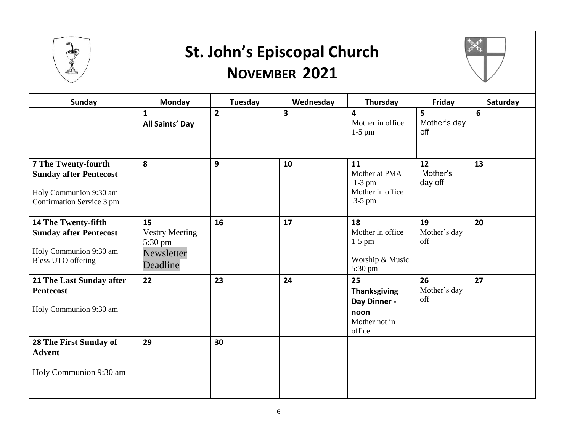

### **St. John's Episcopal Church NOVEMBER 2021**



| <b>Sunday</b>                                                                                                      | <b>Monday</b>                                                    | Tuesday        | Wednesday | Thursday                                                                     | Friday                    | Saturday        |
|--------------------------------------------------------------------------------------------------------------------|------------------------------------------------------------------|----------------|-----------|------------------------------------------------------------------------------|---------------------------|-----------------|
|                                                                                                                    | $\mathbf{1}$<br>All Saints' Day                                  | $\overline{2}$ | 3         | 4<br>Mother in office<br>$1-5$ pm                                            | 5<br>Mother's day<br>off  | $6\phantom{1}6$ |
| <b>7 The Twenty-fourth</b><br><b>Sunday after Pentecost</b><br>Holy Communion 9:30 am<br>Confirmation Service 3 pm | 8                                                                | 9              | 10        | 11<br>Mother at PMA<br>$1-3$ pm<br>Mother in office<br>$3-5$ pm              | 12<br>Mother's<br>day off | 13              |
| 14 The Twenty-fifth<br><b>Sunday after Pentecost</b><br>Holy Communion 9:30 am<br><b>Bless UTO offering</b>        | 15<br><b>Vestry Meeting</b><br>5:30 pm<br>Newsletter<br>Deadline | 16             | 17        | 18<br>Mother in office<br>$1-5$ pm<br>Worship & Music<br>5:30 pm             | 19<br>Mother's day<br>off | 20              |
| 21 The Last Sunday after<br><b>Pentecost</b><br>Holy Communion 9:30 am                                             | 22                                                               | 23             | 24        | 25<br><b>Thanksgiving</b><br>Day Dinner -<br>noon<br>Mother not in<br>office | 26<br>Mother's day<br>off | 27              |
| 28 The First Sunday of<br><b>Advent</b><br>Holy Communion 9:30 am                                                  | 29                                                               | 30             |           |                                                                              |                           |                 |